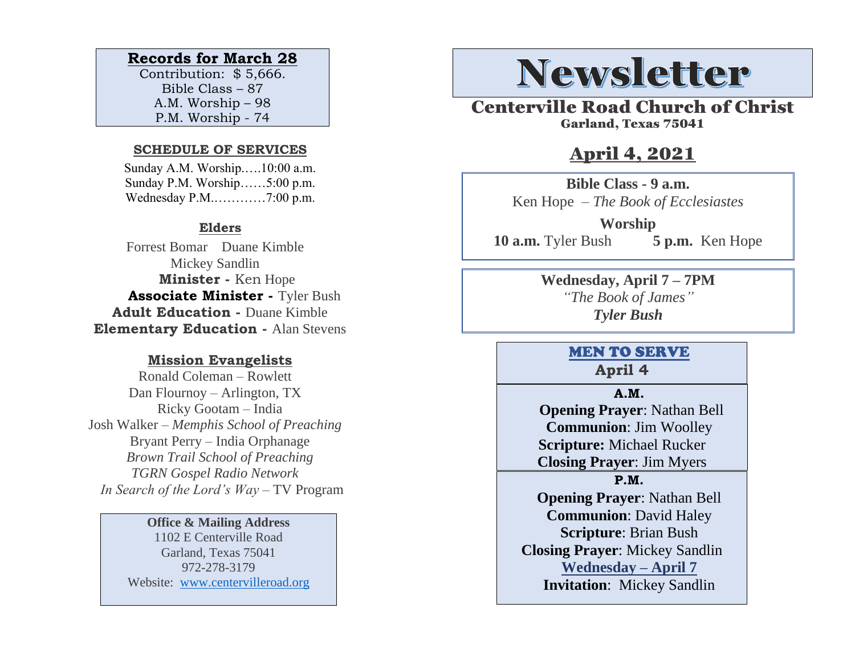# **Records for March 28**

Contribution: \$ 5,666. Bible Class – 87 A.M. Worship – 98 P.M. Worship - 74

#### **SCHEDULE OF SERVICES**

 Sunday A.M. Worship.….10:00 a.m. Sunday P.M. Worship……5:00 p.m. Wednesday P.M.…………7:00 p.m.

### **Elders**

Forrest Bomar Duane Kimble Mickey Sandlin  **Minister -** Ken Hope  **Associate Minister -** Tyler Bush **Adult Education -** Duane Kimble **Elementary Education -** Alan Stevens

### **Mission Evangelists**

Ronald Coleman – Rowlett Dan Flournoy – Arlington, TX Ricky Gootam – India Josh Walker – *Memphis School of Preaching* Bryant Perry – India Orphanage *Brown Trail School of Preaching TGRN Gospel Radio Network In Search of the Lord's Way* – TV Program

#### **Office & Mailing Address**

1102 E Centerville Road Garland, Texas 75041 972-278-3179 Website: [www.centervilleroad.org](https://d.docs.live.net/97e199c461b763eb/Newsletter/News%202020/August%202020/www.centervilleroad.org)

# **Newsletter**

Centerville Road Church of Christ Garland, Texas 75041

# April 4, 2021

**Bible Class - 9 a.m.** Ken Hope *– The Book of Ecclesiastes*

**Worship 10 a.m.** Tyler Bush **5 p.m.** Ken Hope

> **Wednesday, April 7 – 7PM** *"The Book of James" Tyler Bush*

# MEN TO SERVE **April 4**

#### **A.M.**

 **Opening Prayer**: Nathan Bell **Communion**: Jim Woolley **Scripture:** Michael Rucker **Closing Prayer**: Jim Myers

**P.M.**

**Opening Prayer**: Nathan Bell **Communion**: David Haley **Scripture**: Brian Bush **Closing Prayer**: Mickey Sandlin **Wednesday – April 7 Invitation**: Mickey Sandlin